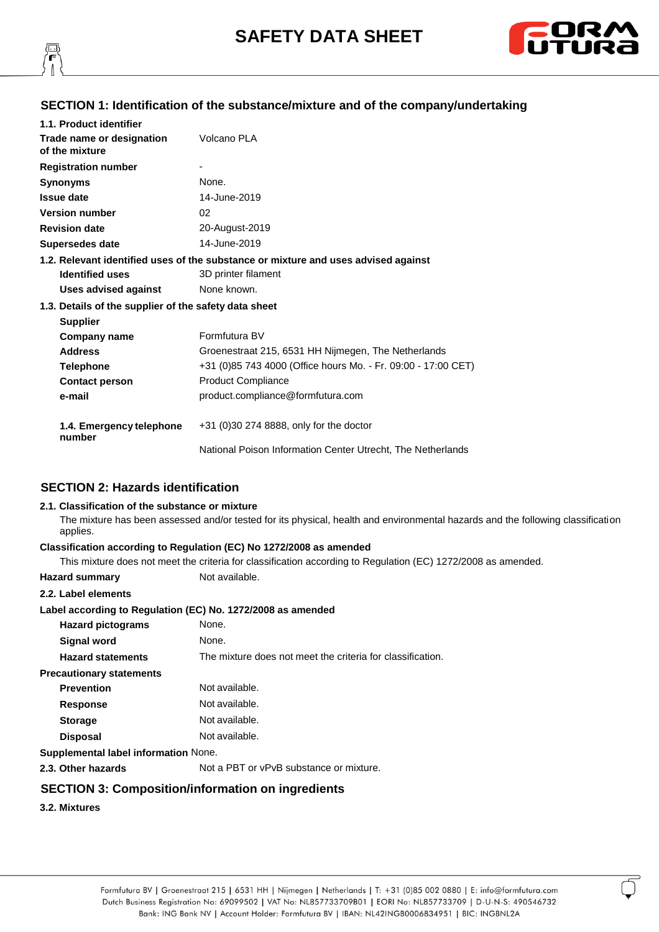



# **SECTION 1: Identification of the substance/mixture and of the company/undertaking**

| 1.1. Product identifier                               |                                                                                    |
|-------------------------------------------------------|------------------------------------------------------------------------------------|
| Trade name or designation<br>of the mixture           | Volcano PLA                                                                        |
| <b>Registration number</b>                            |                                                                                    |
| <b>Synonyms</b>                                       | None.                                                                              |
| <b>Issue date</b>                                     | 14-June-2019                                                                       |
| <b>Version number</b>                                 | 02                                                                                 |
| <b>Revision date</b>                                  | 20-August-2019                                                                     |
| <b>Supersedes date</b>                                | 14-June-2019                                                                       |
|                                                       | 1.2. Relevant identified uses of the substance or mixture and uses advised against |
| <b>Identified uses</b>                                | 3D printer filament                                                                |
| Uses advised against                                  | None known.                                                                        |
| 1.3. Details of the supplier of the safety data sheet |                                                                                    |
| <b>Supplier</b>                                       |                                                                                    |
| <b>Company name</b>                                   | Formfutura BV                                                                      |
| <b>Address</b>                                        | Groenestraat 215, 6531 HH Nijmegen, The Netherlands                                |
| <b>Telephone</b>                                      | +31 (0)85 743 4000 (Office hours Mo. - Fr. 09:00 - 17:00 CET)                      |
| <b>Contact person</b>                                 | <b>Product Compliance</b>                                                          |
| e-mail                                                | product.compliance@formfutura.com                                                  |
| 1.4. Emergency telephone<br>number                    | +31 (0)30 274 8888, only for the doctor                                            |
|                                                       | National Poison Information Center Utrecht, The Netherlands                        |

### **SECTION 2: Hazards identification**

#### **2.1. Classification of the substance or mixture**

The mixture has been assessed and/or tested for its physical, health and environmental hazards and the following classification applies.

#### **Classification according to Regulation (EC) No 1272/2008 as amended**

This mixture does not meet the criteria for classification according to Regulation (EC) 1272/2008 as amended.

**Hazard summary** Not available.

#### **2.2. Label elements**

#### **Label according to Regulation (EC) No. 1272/2008 as amended**

| <b>Hazard pictograms</b>             | None.                                                      |
|--------------------------------------|------------------------------------------------------------|
| <b>Signal word</b>                   | None.                                                      |
| <b>Hazard statements</b>             | The mixture does not meet the criteria for classification. |
| <b>Precautionary statements</b>      |                                                            |
| <b>Prevention</b>                    | Not available.                                             |
| <b>Response</b>                      | Not available.                                             |
| <b>Storage</b>                       | Not available.                                             |
| <b>Disposal</b>                      | Not available.                                             |
| Supplemental label information None. |                                                            |
| 2.3. Other hazards                   | Not a PBT or vPvB substance or mixture.                    |

# **SECTION 3: Composition/information on ingredients**

# **3.2. Mixtures**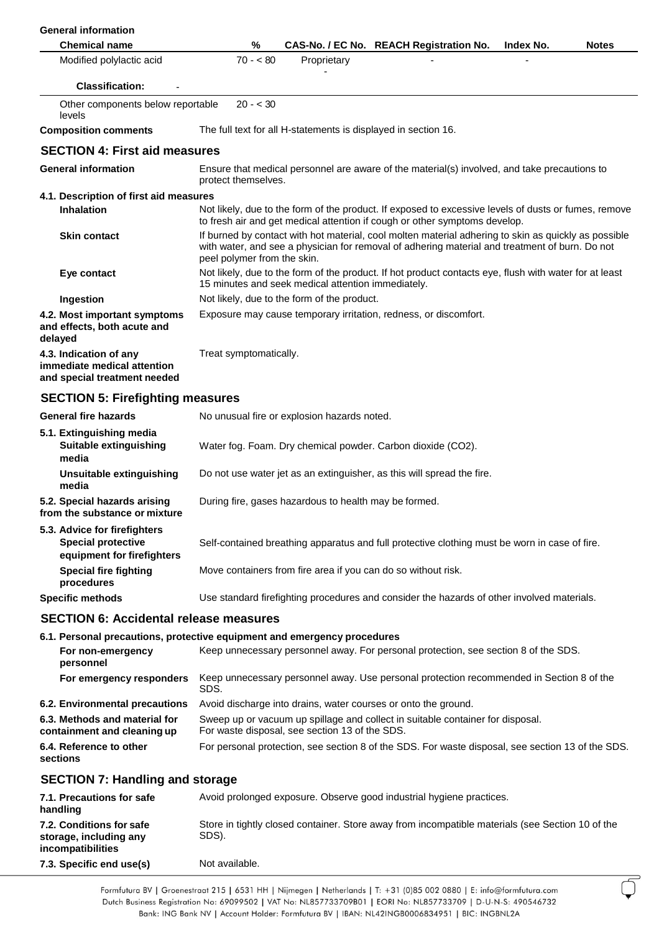| <b>General information</b>                                                              |                                                                                                                                                                                                                                       |             |                                                                                                                                                                                    |           |              |
|-----------------------------------------------------------------------------------------|---------------------------------------------------------------------------------------------------------------------------------------------------------------------------------------------------------------------------------------|-------------|------------------------------------------------------------------------------------------------------------------------------------------------------------------------------------|-----------|--------------|
| <b>Chemical name</b>                                                                    | %                                                                                                                                                                                                                                     |             | CAS-No. / EC No. REACH Registration No.                                                                                                                                            | Index No. | <b>Notes</b> |
| Modified polylactic acid                                                                | $70 - 80$                                                                                                                                                                                                                             | Proprietary |                                                                                                                                                                                    |           |              |
| <b>Classification:</b>                                                                  |                                                                                                                                                                                                                                       |             |                                                                                                                                                                                    |           |              |
| Other components below reportable<br>levels                                             | $20 - 30$                                                                                                                                                                                                                             |             |                                                                                                                                                                                    |           |              |
| <b>Composition comments</b>                                                             | The full text for all H-statements is displayed in section 16.                                                                                                                                                                        |             |                                                                                                                                                                                    |           |              |
| <b>SECTION 4: First aid measures</b>                                                    |                                                                                                                                                                                                                                       |             |                                                                                                                                                                                    |           |              |
| <b>General information</b>                                                              | protect themselves.                                                                                                                                                                                                                   |             | Ensure that medical personnel are aware of the material(s) involved, and take precautions to                                                                                       |           |              |
| 4.1. Description of first aid measures                                                  |                                                                                                                                                                                                                                       |             |                                                                                                                                                                                    |           |              |
| <b>Inhalation</b>                                                                       |                                                                                                                                                                                                                                       |             | Not likely, due to the form of the product. If exposed to excessive levels of dusts or fumes, remove<br>to fresh air and get medical attention if cough or other symptoms develop. |           |              |
| <b>Skin contact</b>                                                                     | If burned by contact with hot material, cool molten material adhering to skin as quickly as possible<br>with water, and see a physician for removal of adhering material and treatment of burn. Do not<br>peel polymer from the skin. |             |                                                                                                                                                                                    |           |              |
| Eye contact                                                                             | Not likely, due to the form of the product. If hot product contacts eye, flush with water for at least<br>15 minutes and seek medical attention immediately.                                                                          |             |                                                                                                                                                                                    |           |              |
| Ingestion                                                                               | Not likely, due to the form of the product.                                                                                                                                                                                           |             |                                                                                                                                                                                    |           |              |
| 4.2. Most important symptoms<br>and effects, both acute and<br>delayed                  |                                                                                                                                                                                                                                       |             | Exposure may cause temporary irritation, redness, or discomfort.                                                                                                                   |           |              |
| 4.3. Indication of any<br>immediate medical attention<br>and special treatment needed   | Treat symptomatically.                                                                                                                                                                                                                |             |                                                                                                                                                                                    |           |              |
| <b>SECTION 5: Firefighting measures</b>                                                 |                                                                                                                                                                                                                                       |             |                                                                                                                                                                                    |           |              |
| <b>General fire hazards</b>                                                             | No unusual fire or explosion hazards noted.                                                                                                                                                                                           |             |                                                                                                                                                                                    |           |              |
| 5.1. Extinguishing media<br><b>Suitable extinguishing</b><br>media                      |                                                                                                                                                                                                                                       |             | Water fog. Foam. Dry chemical powder. Carbon dioxide (CO2).                                                                                                                        |           |              |
| Unsuitable extinguishing<br>media                                                       |                                                                                                                                                                                                                                       |             | Do not use water jet as an extinguisher, as this will spread the fire.                                                                                                             |           |              |
| 5.2. Special hazards arising<br>from the substance or mixture                           | During fire, gases hazardous to health may be formed.                                                                                                                                                                                 |             |                                                                                                                                                                                    |           |              |
| 5.3. Advice for firefighters<br><b>Special protective</b><br>equipment for firefighters |                                                                                                                                                                                                                                       |             | Self-contained breathing apparatus and full protective clothing must be worn in case of fire.                                                                                      |           |              |
| <b>Special fire fighting</b><br>procedures                                              | Move containers from fire area if you can do so without risk.                                                                                                                                                                         |             |                                                                                                                                                                                    |           |              |
| <b>Specific methods</b>                                                                 |                                                                                                                                                                                                                                       |             | Use standard firefighting procedures and consider the hazards of other involved materials.                                                                                         |           |              |
| <b>SECTION 6: Accidental release measures</b>                                           |                                                                                                                                                                                                                                       |             |                                                                                                                                                                                    |           |              |
| 6.1. Personal precautions, protective equipment and emergency procedures                |                                                                                                                                                                                                                                       |             |                                                                                                                                                                                    |           |              |
| For non-emergency<br>personnel                                                          |                                                                                                                                                                                                                                       |             | Keep unnecessary personnel away. For personal protection, see section 8 of the SDS.                                                                                                |           |              |
| For emergency responders                                                                | SDS.                                                                                                                                                                                                                                  |             | Keep unnecessary personnel away. Use personal protection recommended in Section 8 of the                                                                                           |           |              |

| Environmental precautions Avoid discharge into drains, water courses or onto the ground. |
|------------------------------------------------------------------------------------------|
|                                                                                          |

| 6.2. Environmental precautions                               | Avoid discharge into drains, water courses or onto the ground.                                                                   |
|--------------------------------------------------------------|----------------------------------------------------------------------------------------------------------------------------------|
| 6.3. Methods and material for<br>containment and cleaning up | Sweep up or vacuum up spillage and collect in suitable container for disposal.<br>For waste disposal, see section 13 of the SDS. |
| 6.4. Reference to other<br>sections                          | For personal protection, see section 8 of the SDS. For waste disposal, see section 13 of the SDS.                                |

# **SECTION 7: Handling and storage**

| 7.1. Precautions for safe<br>handling                                   | Avoid prolonged exposure. Observe good industrial hygiene practices.                                      |
|-------------------------------------------------------------------------|-----------------------------------------------------------------------------------------------------------|
| 7.2. Conditions for safe<br>storage, including any<br>incompatibilities | Store in tightly closed container. Store away from incompatible materials (see Section 10 of the<br>SDS). |
| 7.3. Specific end use(s)                                                | Not available.                                                                                            |

Formfutura BV | Groenestraat 215 | 6531 HH | Nijmegen | Netherlands | T: +31 (0)85 002 0880 | E: info@formfutura.com Dutch Business Registration No: 69099502 | VAT No: NL857733709B01 | EORI No: NL857733709 | D-U-N-S: 490546732 Bank: ING Bank NV | Account Holder: Formfutura BV | IBAN: NL42INGB0006834951 | BIC: INGBNL2A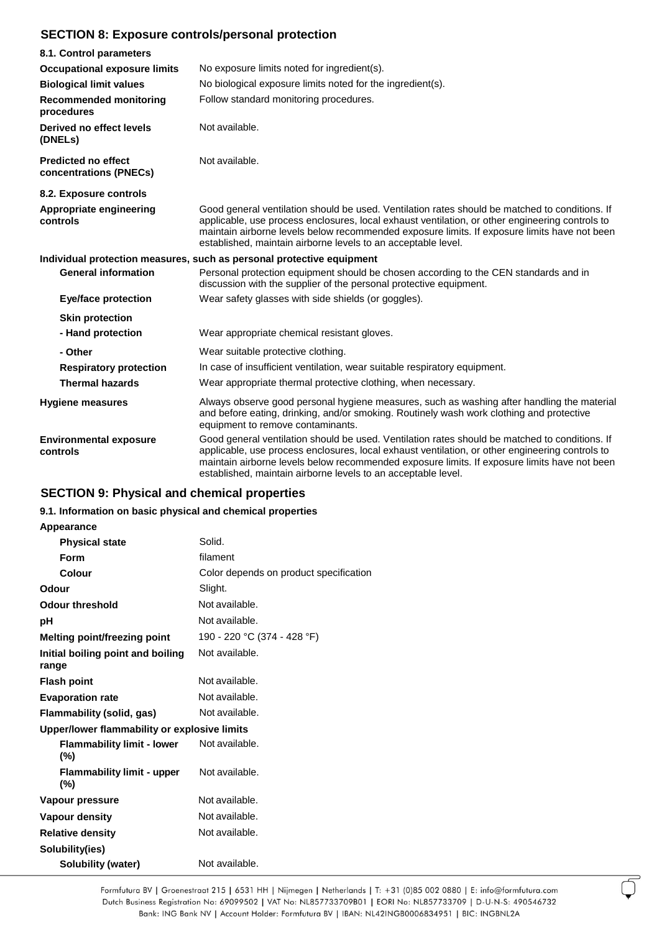# **SECTION 8: Exposure controls/personal protection**

| 8.1. Control parameters                              |                                                                                                                                                                                                                                                                                                                                                                    |
|------------------------------------------------------|--------------------------------------------------------------------------------------------------------------------------------------------------------------------------------------------------------------------------------------------------------------------------------------------------------------------------------------------------------------------|
| <b>Occupational exposure limits</b>                  | No exposure limits noted for ingredient(s).                                                                                                                                                                                                                                                                                                                        |
| <b>Biological limit values</b>                       | No biological exposure limits noted for the ingredient(s).                                                                                                                                                                                                                                                                                                         |
| <b>Recommended monitoring</b><br>procedures          | Follow standard monitoring procedures.                                                                                                                                                                                                                                                                                                                             |
| Derived no effect levels<br>(DNELs)                  | Not available.                                                                                                                                                                                                                                                                                                                                                     |
| <b>Predicted no effect</b><br>concentrations (PNECs) | Not available.                                                                                                                                                                                                                                                                                                                                                     |
| 8.2. Exposure controls                               |                                                                                                                                                                                                                                                                                                                                                                    |
| Appropriate engineering<br>controls                  | Good general ventilation should be used. Ventilation rates should be matched to conditions. If<br>applicable, use process enclosures, local exhaust ventilation, or other engineering controls to<br>maintain airborne levels below recommended exposure limits. If exposure limits have not been<br>established, maintain airborne levels to an acceptable level. |
|                                                      | Individual protection measures, such as personal protective equipment                                                                                                                                                                                                                                                                                              |
| <b>General information</b>                           | Personal protection equipment should be chosen according to the CEN standards and in<br>discussion with the supplier of the personal protective equipment.                                                                                                                                                                                                         |
| <b>Eye/face protection</b>                           | Wear safety glasses with side shields (or goggles).                                                                                                                                                                                                                                                                                                                |
| <b>Skin protection</b>                               |                                                                                                                                                                                                                                                                                                                                                                    |
| - Hand protection                                    | Wear appropriate chemical resistant gloves.                                                                                                                                                                                                                                                                                                                        |
| - Other                                              | Wear suitable protective clothing.                                                                                                                                                                                                                                                                                                                                 |
| <b>Respiratory protection</b>                        | In case of insufficient ventilation, wear suitable respiratory equipment.                                                                                                                                                                                                                                                                                          |
| <b>Thermal hazards</b>                               | Wear appropriate thermal protective clothing, when necessary.                                                                                                                                                                                                                                                                                                      |
| <b>Hygiene measures</b>                              | Always observe good personal hygiene measures, such as washing after handling the material<br>and before eating, drinking, and/or smoking. Routinely wash work clothing and protective<br>equipment to remove contaminants.                                                                                                                                        |
| <b>Environmental exposure</b><br>controls            | Good general ventilation should be used. Ventilation rates should be matched to conditions. If<br>applicable, use process enclosures, local exhaust ventilation, or other engineering controls to<br>maintain airborne levels below recommended exposure limits. If exposure limits have not been<br>established, maintain airborne levels to an acceptable level. |

# **SECTION 9: Physical and chemical properties**

# **9.1. Information on basic physical and chemical properties**

# **Appearance**

| <b>Physical state</b>                        | Solid.                                 |
|----------------------------------------------|----------------------------------------|
| Form                                         | filament                               |
| Colour                                       | Color depends on product specification |
| Odour                                        | Slight.                                |
| <b>Odour threshold</b>                       | Not available.                         |
| рH                                           | Not available.                         |
| <b>Melting point/freezing point</b>          | 190 - 220 °C (374 - 428 °F)            |
| Initial boiling point and boiling<br>range   | Not available.                         |
| <b>Flash point</b>                           | Not available.                         |
| <b>Evaporation rate</b>                      | Not available.                         |
| Flammability (solid, gas)                    | Not available.                         |
| Upper/lower flammability or explosive limits |                                        |
| <b>Flammability limit - lower</b><br>(%)     | Not available.                         |
| Flammability limit - upper<br>$(\% )$        | Not available.                         |
| Vapour pressure                              | Not available.                         |
| <b>Vapour density</b>                        | Not available.                         |
| <b>Relative density</b>                      | Not available.                         |
| Solubility(ies)                              |                                        |
| <b>Solubility (water)</b>                    | Not available.                         |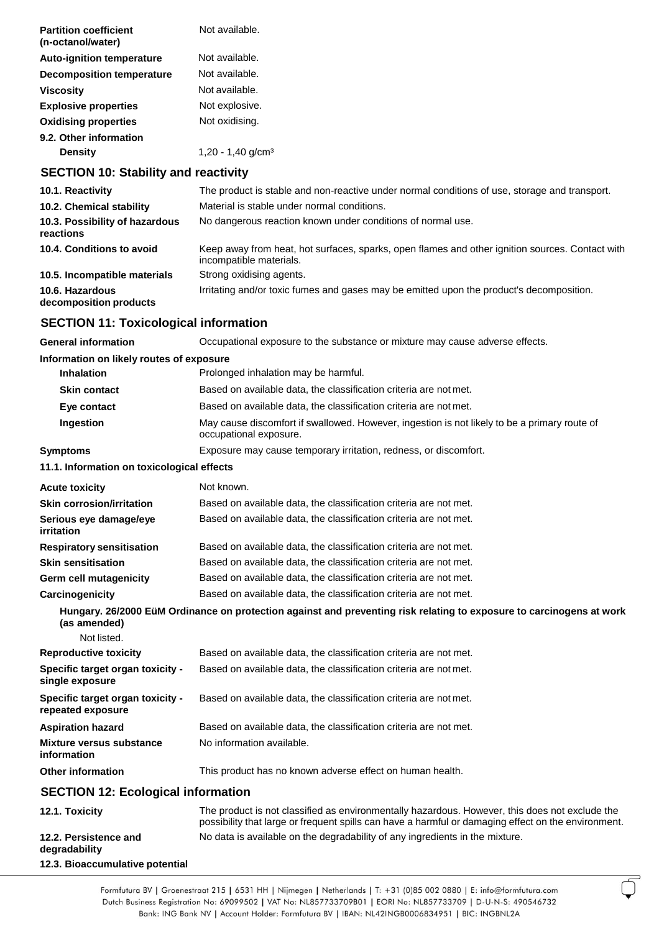| <b>Partition coefficient</b><br>(n-octanol/water) | Not available.                |
|---------------------------------------------------|-------------------------------|
| <b>Auto-ignition temperature</b>                  | Not available.                |
| <b>Decomposition temperature</b>                  | Not available.                |
| Viscosity                                         | Not available                 |
| <b>Explosive properties</b>                       | Not explosive.                |
| <b>Oxidising properties</b>                       | Not oxidising.                |
| 9.2. Other information                            |                               |
| <b>Density</b>                                    | 1,20 - 1,40 g/cm <sup>3</sup> |
|                                                   |                               |

# **SECTION 10: Stability and reactivity**

| 10.1. Reactivity                            | The product is stable and non-reactive under normal conditions of use, storage and transport.                              |
|---------------------------------------------|----------------------------------------------------------------------------------------------------------------------------|
| 10.2. Chemical stability                    | Material is stable under normal conditions.                                                                                |
| 10.3. Possibility of hazardous<br>reactions | No dangerous reaction known under conditions of normal use.                                                                |
| 10.4. Conditions to avoid                   | Keep away from heat, hot surfaces, sparks, open flames and other ignition sources. Contact with<br>incompatible materials. |
| 10.5. Incompatible materials                | Strong oxidising agents.                                                                                                   |
| 10.6. Hazardous<br>decomposition products   | Irritating and/or toxic fumes and gases may be emitted upon the product's decomposition.                                   |

# **SECTION 11: Toxicological information**

| <b>General information</b>                            | Occupational exposure to the substance or mixture may cause adverse effects.                                                                                                                          |
|-------------------------------------------------------|-------------------------------------------------------------------------------------------------------------------------------------------------------------------------------------------------------|
| Information on likely routes of exposure              |                                                                                                                                                                                                       |
| <b>Inhalation</b>                                     | Prolonged inhalation may be harmful.                                                                                                                                                                  |
| <b>Skin contact</b>                                   | Based on available data, the classification criteria are not met.                                                                                                                                     |
| Eye contact                                           | Based on available data, the classification criteria are not met.                                                                                                                                     |
| Ingestion                                             | May cause discomfort if swallowed. However, ingestion is not likely to be a primary route of<br>occupational exposure.                                                                                |
| <b>Symptoms</b>                                       | Exposure may cause temporary irritation, redness, or discomfort.                                                                                                                                      |
| 11.1. Information on toxicological effects            |                                                                                                                                                                                                       |
| <b>Acute toxicity</b>                                 | Not known.                                                                                                                                                                                            |
| <b>Skin corrosion/irritation</b>                      | Based on available data, the classification criteria are not met.                                                                                                                                     |
| Serious eye damage/eye<br>irritation                  | Based on available data, the classification criteria are not met.                                                                                                                                     |
| <b>Respiratory sensitisation</b>                      | Based on available data, the classification criteria are not met.                                                                                                                                     |
| <b>Skin sensitisation</b>                             | Based on available data, the classification criteria are not met.                                                                                                                                     |
| Germ cell mutagenicity                                | Based on available data, the classification criteria are not met.                                                                                                                                     |
| Carcinogenicity                                       | Based on available data, the classification criteria are not met.                                                                                                                                     |
| (as amended)                                          | Hungary. 26/2000 EüM Ordinance on protection against and preventing risk relating to exposure to carcinogens at work                                                                                  |
| Not listed.                                           |                                                                                                                                                                                                       |
| <b>Reproductive toxicity</b>                          | Based on available data, the classification criteria are not met.                                                                                                                                     |
| Specific target organ toxicity -<br>single exposure   | Based on available data, the classification criteria are not met.                                                                                                                                     |
| Specific target organ toxicity -<br>repeated exposure | Based on available data, the classification criteria are not met.                                                                                                                                     |
| <b>Aspiration hazard</b>                              | Based on available data, the classification criteria are not met.                                                                                                                                     |
| <b>Mixture versus substance</b><br>information        | No information available.                                                                                                                                                                             |
| <b>Other information</b>                              | This product has no known adverse effect on human health.                                                                                                                                             |
| <b>SECTION 12: Ecological information</b>             |                                                                                                                                                                                                       |
| 12.1. Toxicity                                        | The product is not classified as environmentally hazardous. However, this does not exclude the<br>possibility that large or frequent spills can have a harmful or damaging effect on the environment. |
| 12.2. Persistence and<br>degradability                | No data is available on the degradability of any ingredients in the mixture.                                                                                                                          |
| 12.3. Bioaccumulative potential                       |                                                                                                                                                                                                       |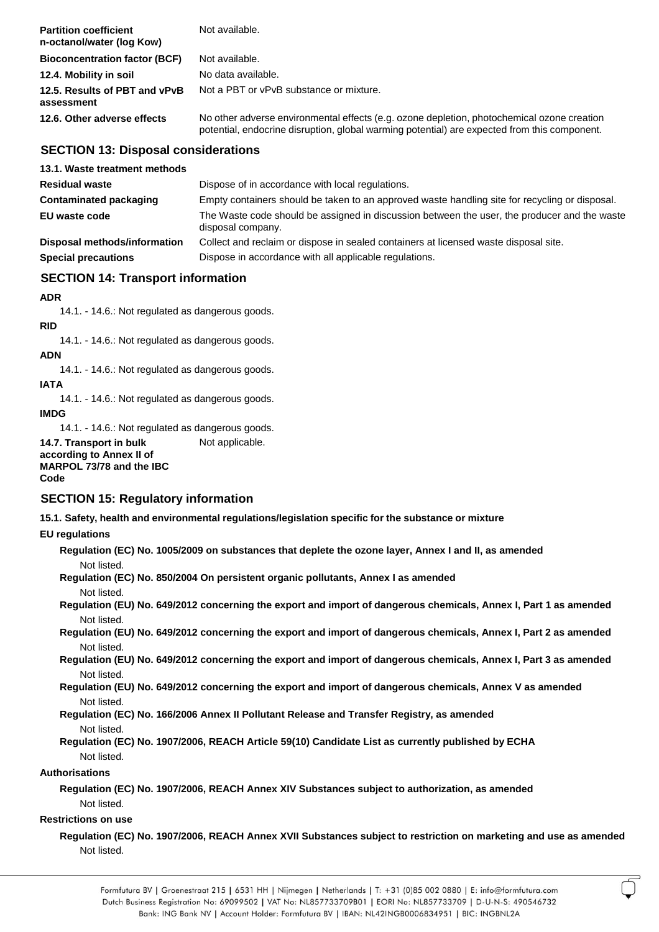| <b>Partition coefficient</b><br>n-octanol/water (log Kow) | Not available.                                                                                                                                                                             |
|-----------------------------------------------------------|--------------------------------------------------------------------------------------------------------------------------------------------------------------------------------------------|
| <b>Bioconcentration factor (BCF)</b>                      | Not available.                                                                                                                                                                             |
| 12.4. Mobility in soil                                    | No data available.                                                                                                                                                                         |
| 12.5. Results of PBT and vPvB<br>assessment               | Not a PBT or vPvB substance or mixture.                                                                                                                                                    |
| 12.6. Other adverse effects                               | No other adverse environmental effects (e.g. ozone depletion, photochemical ozone creation<br>potential, endocrine disruption, global warming potential) are expected from this component. |

## **SECTION 13: Disposal considerations**

| 13.1. Waste treatment methods |                                                                                                                   |
|-------------------------------|-------------------------------------------------------------------------------------------------------------------|
| <b>Residual waste</b>         | Dispose of in accordance with local regulations.                                                                  |
| <b>Contaminated packaging</b> | Empty containers should be taken to an approved waste handling site for recycling or disposal.                    |
| EU waste code                 | The Waste code should be assigned in discussion between the user, the producer and the waste<br>disposal company. |
| Disposal methods/information  | Collect and reclaim or dispose in sealed containers at licensed waste disposal site.                              |
| <b>Special precautions</b>    | Dispose in accordance with all applicable regulations.                                                            |

# **SECTION 14: Transport information**

#### **ADR**

14.1. - 14.6.: Not regulated as dangerous goods.

#### **RID**

14.1. - 14.6.: Not regulated as dangerous goods.

#### **ADN**

14.1. - 14.6.: Not regulated as dangerous goods.

# **IATA**

14.1. - 14.6.: Not regulated as dangerous goods.

#### **IMDG**

14.1. - 14.6.: Not regulated as dangerous goods.

**14.7. Transport in bulk according to Annex II of MARPOL 73/78 and the IBC Code**

# **SECTION 15: Regulatory information**

**15.1. Safety, health and environmental regulations/legislation specific for the substance or mixture** 

### **EU regulations**

**Regulation (EC) No. 1005/2009 on substances that deplete the ozone layer, Annex I and II, as amended** Not listed.

**Regulation (EC) No. 850/2004 On persistent organic pollutants, Annex I as amended** Not listed.

Not applicable.

**Regulation (EU) No. 649/2012 concerning the export and import of dangerous chemicals, Annex I, Part 1 as amended** Not listed.

**Regulation (EU) No. 649/2012 concerning the export and import of dangerous chemicals, Annex I, Part 2 as amended** Not listed.

**Regulation (EU) No. 649/2012 concerning the export and import of dangerous chemicals, Annex I, Part 3 as amended** Not listed.

**Regulation (EU) No. 649/2012 concerning the export and import of dangerous chemicals, Annex V as amended** Not listed.

## **Regulation (EC) No. 166/2006 Annex II Pollutant Release and Transfer Registry, as amended** Not listed.

**Regulation (EC) No. 1907/2006, REACH Article 59(10) Candidate List as currently published by ECHA** Not listed.

#### **Authorisations**

**Regulation (EC) No. 1907/2006, REACH Annex XIV Substances subject to authorization, as amended** Not listed.

### **Restrictions on use**

**Regulation (EC) No. 1907/2006, REACH Annex XVII Substances subject to restriction on marketing and use as amended** Not listed.